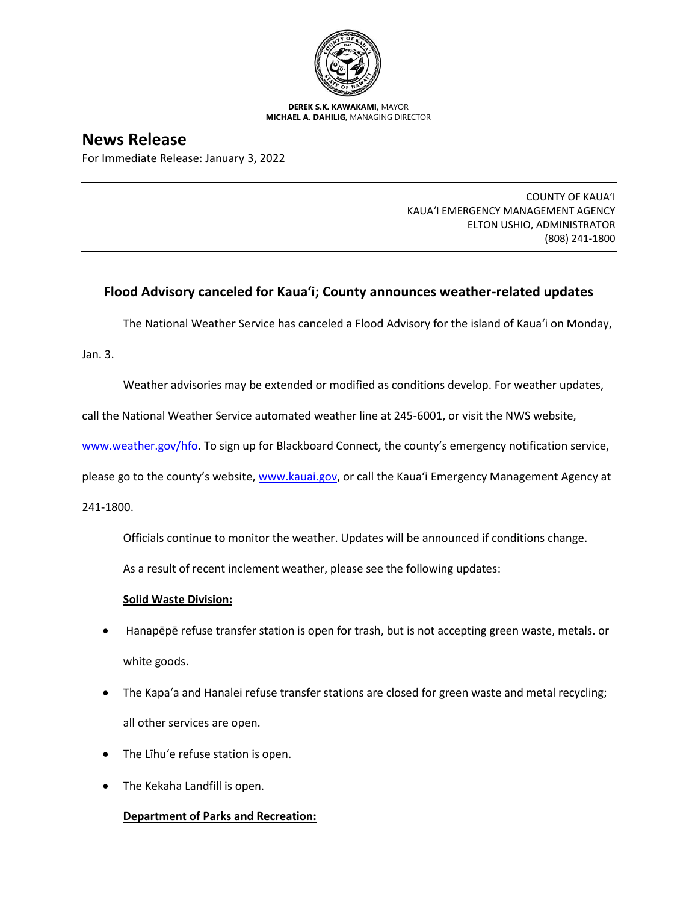

**DEREK S.K. KAWAKAMI,** MAYOR **MICHAEL A. DAHILIG,** MANAGING DIRECTOR

# **News Release**

For Immediate Release: January 3, 2022

COUNTY OF KAUA'I KAUA'I EMERGENCY MANAGEMENT AGENCY ELTON USHIO, ADMINISTRATOR (808) 241-1800

# **Flood Advisory canceled for Kaua'i; County announces weather-related updates**

The National Weather Service has canceled a Flood Advisory for the island of Kaua'i on Monday,

Jan. 3.

Weather advisories may be extended or modified as conditions develop. For weather updates,

call the National Weather Service automated weather line at 245-6001, or visit the NWS website,

[www.weather.gov/hfo.](http://www.weather.gov/hfo) To sign up for Blackboard Connect, the county's emergency notification service,

please go to the county's website, [www.kauai.gov](https://linkprotect.cudasvc.com/url?a=http%3a%2f%2fwww.kauai.gov&c=E,1,kHBnKMW2IDcJHwf0479hk-wZ884gINBTc4exgHbchkL0RZiyzErC1_Otn6buwDWLRpi7EPTHh_na-Sdvi5STtTbP5SuI3p-jLFxaB7_x0Mw,&typo=1), or call the Kaua'i Emergency Management Agency at

241-1800.

Officials continue to monitor the weather. Updates will be announced if conditions change.

As a result of recent inclement weather, please see the following updates:

#### **Solid Waste Division:**

- Hanapēpē refuse transfer station is open for trash, but is not accepting green waste, metals. or white goods.
- The Kapa'a and Hanalei refuse transfer stations are closed for green waste and metal recycling; all other services are open.
- The Līhu'e refuse station is open.
- The Kekaha Landfill is open.

## **Department of Parks and Recreation:**